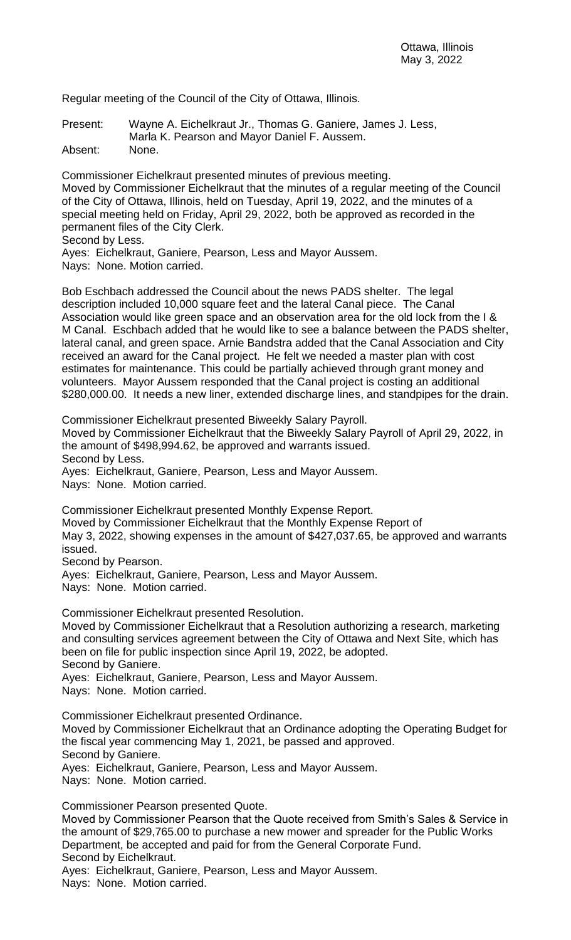Regular meeting of the Council of the City of Ottawa, Illinois.

Present: Wayne A. Eichelkraut Jr., Thomas G. Ganiere, James J. Less, Marla K. Pearson and Mayor Daniel F. Aussem.

Absent: None.

Commissioner Eichelkraut presented minutes of previous meeting. Moved by Commissioner Eichelkraut that the minutes of a regular meeting of the Council of the City of Ottawa, Illinois, held on Tuesday, April 19, 2022, and the minutes of a special meeting held on Friday, April 29, 2022, both be approved as recorded in the permanent files of the City Clerk.

Second by Less.

Ayes: Eichelkraut, Ganiere, Pearson, Less and Mayor Aussem.

Nays: None. Motion carried.

Bob Eschbach addressed the Council about the news PADS shelter. The legal description included 10,000 square feet and the lateral Canal piece. The Canal Association would like green space and an observation area for the old lock from the I & M Canal. Eschbach added that he would like to see a balance between the PADS shelter, lateral canal, and green space. Arnie Bandstra added that the Canal Association and City received an award for the Canal project. He felt we needed a master plan with cost estimates for maintenance. This could be partially achieved through grant money and volunteers. Mayor Aussem responded that the Canal project is costing an additional \$280,000.00. It needs a new liner, extended discharge lines, and standpipes for the drain.

Commissioner Eichelkraut presented Biweekly Salary Payroll.

Moved by Commissioner Eichelkraut that the Biweekly Salary Payroll of April 29, 2022, in the amount of \$498,994.62, be approved and warrants issued. Second by Less.

Ayes: Eichelkraut, Ganiere, Pearson, Less and Mayor Aussem.

Nays: None. Motion carried.

Commissioner Eichelkraut presented Monthly Expense Report. Moved by Commissioner Eichelkraut that the Monthly Expense Report of May 3, 2022, showing expenses in the amount of \$427,037.65, be approved and warrants issued.

Second by Pearson.

Ayes: Eichelkraut, Ganiere, Pearson, Less and Mayor Aussem.

Nays: None. Motion carried.

Commissioner Eichelkraut presented Resolution.

Moved by Commissioner Eichelkraut that a Resolution authorizing a research, marketing and consulting services agreement between the City of Ottawa and Next Site, which has been on file for public inspection since April 19, 2022, be adopted. Second by Ganiere.

Ayes: Eichelkraut, Ganiere, Pearson, Less and Mayor Aussem.

Nays: None. Motion carried.

Commissioner Eichelkraut presented Ordinance.

Moved by Commissioner Eichelkraut that an Ordinance adopting the Operating Budget for the fiscal year commencing May 1, 2021, be passed and approved.

Second by Ganiere.

Ayes: Eichelkraut, Ganiere, Pearson, Less and Mayor Aussem.

Nays: None. Motion carried.

Commissioner Pearson presented Quote.

Moved by Commissioner Pearson that the Quote received from Smith's Sales & Service in the amount of \$29,765.00 to purchase a new mower and spreader for the Public Works Department, be accepted and paid for from the General Corporate Fund.

Second by Eichelkraut.

Ayes: Eichelkraut, Ganiere, Pearson, Less and Mayor Aussem. Nays: None. Motion carried.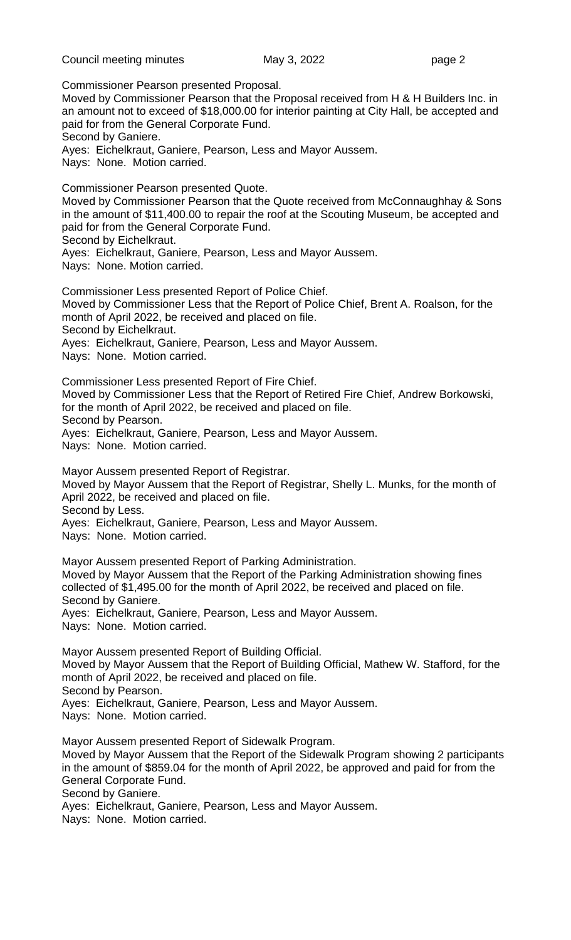Council meeting minutes **May 3, 2022 page 2** 

Commissioner Pearson presented Proposal.

Moved by Commissioner Pearson that the Proposal received from H & H Builders Inc. in an amount not to exceed of \$18,000.00 for interior painting at City Hall, be accepted and paid for from the General Corporate Fund.

Second by Ganiere.

Ayes: Eichelkraut, Ganiere, Pearson, Less and Mayor Aussem.

Nays: None. Motion carried.

Commissioner Pearson presented Quote. Moved by Commissioner Pearson that the Quote received from McConnaughhay & Sons in the amount of \$11,400.00 to repair the roof at the Scouting Museum, be accepted and paid for from the General Corporate Fund.

Second by Eichelkraut.

Ayes: Eichelkraut, Ganiere, Pearson, Less and Mayor Aussem.

Nays: None. Motion carried.

Commissioner Less presented Report of Police Chief.

Moved by Commissioner Less that the Report of Police Chief, Brent A. Roalson, for the month of April 2022, be received and placed on file.

Second by Eichelkraut.

Ayes: Eichelkraut, Ganiere, Pearson, Less and Mayor Aussem.

Nays: None. Motion carried.

Commissioner Less presented Report of Fire Chief.

Moved by Commissioner Less that the Report of Retired Fire Chief, Andrew Borkowski, for the month of April 2022, be received and placed on file.

Second by Pearson.

Ayes: Eichelkraut, Ganiere, Pearson, Less and Mayor Aussem.

Nays: None. Motion carried.

Mayor Aussem presented Report of Registrar.

Moved by Mayor Aussem that the Report of Registrar, Shelly L. Munks, for the month of April 2022, be received and placed on file.

Second by Less.

Ayes: Eichelkraut, Ganiere, Pearson, Less and Mayor Aussem.

Nays: None. Motion carried.

Mayor Aussem presented Report of Parking Administration. Moved by Mayor Aussem that the Report of the Parking Administration showing fines collected of \$1,495.00 for the month of April 2022, be received and placed on file. Second by Ganiere.

Ayes: Eichelkraut, Ganiere, Pearson, Less and Mayor Aussem.

Nays: None. Motion carried.

Mayor Aussem presented Report of Building Official. Moved by Mayor Aussem that the Report of Building Official, Mathew W. Stafford, for the month of April 2022, be received and placed on file.

Second by Pearson.

Ayes: Eichelkraut, Ganiere, Pearson, Less and Mayor Aussem.

Nays: None. Motion carried.

Mayor Aussem presented Report of Sidewalk Program.

Moved by Mayor Aussem that the Report of the Sidewalk Program showing 2 participants in the amount of \$859.04 for the month of April 2022, be approved and paid for from the General Corporate Fund.

Second by Ganiere.

Ayes: Eichelkraut, Ganiere, Pearson, Less and Mayor Aussem.

Nays: None. Motion carried.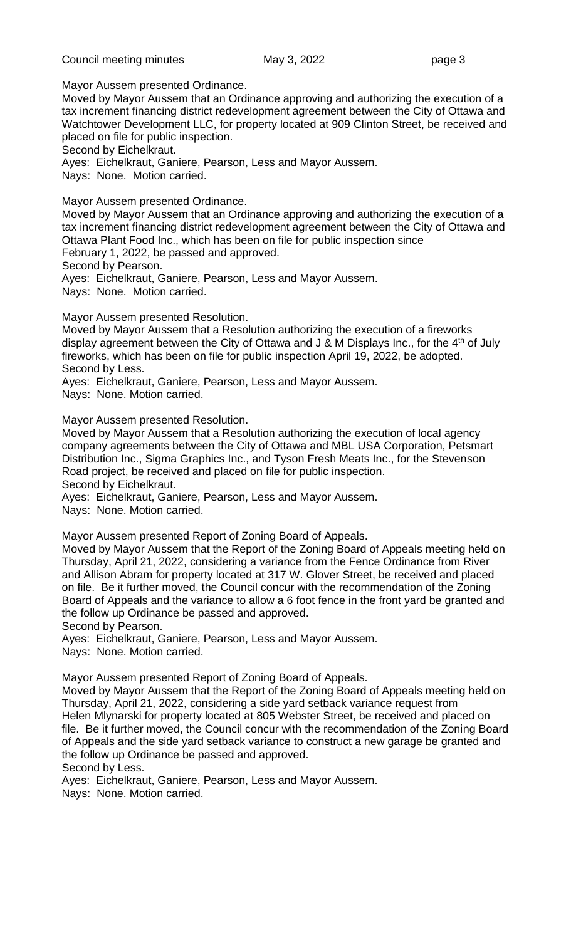Mayor Aussem presented Ordinance.

Moved by Mayor Aussem that an Ordinance approving and authorizing the execution of a tax increment financing district redevelopment agreement between the City of Ottawa and Watchtower Development LLC, for property located at 909 Clinton Street, be received and placed on file for public inspection.

Second by Eichelkraut.

Ayes: Eichelkraut, Ganiere, Pearson, Less and Mayor Aussem.

Nays: None. Motion carried.

Mayor Aussem presented Ordinance.

Moved by Mayor Aussem that an Ordinance approving and authorizing the execution of a tax increment financing district redevelopment agreement between the City of Ottawa and Ottawa Plant Food Inc., which has been on file for public inspection since February 1, 2022, be passed and approved.

Second by Pearson.

Ayes: Eichelkraut, Ganiere, Pearson, Less and Mayor Aussem.

Nays: None. Motion carried.

Mayor Aussem presented Resolution.

Moved by Mayor Aussem that a Resolution authorizing the execution of a fireworks display agreement between the City of Ottawa and  $J$  & M Displays Inc., for the  $4<sup>th</sup>$  of July fireworks, which has been on file for public inspection April 19, 2022, be adopted. Second by Less.

Ayes: Eichelkraut, Ganiere, Pearson, Less and Mayor Aussem.

Nays: None. Motion carried.

Mayor Aussem presented Resolution.

Moved by Mayor Aussem that a Resolution authorizing the execution of local agency company agreements between the City of Ottawa and MBL USA Corporation, Petsmart Distribution Inc., Sigma Graphics Inc., and Tyson Fresh Meats Inc., for the Stevenson Road project, be received and placed on file for public inspection. Second by Eichelkraut.

Ayes: Eichelkraut, Ganiere, Pearson, Less and Mayor Aussem.

Nays: None. Motion carried.

Mayor Aussem presented Report of Zoning Board of Appeals.

Moved by Mayor Aussem that the Report of the Zoning Board of Appeals meeting held on Thursday, April 21, 2022, considering a variance from the Fence Ordinance from River and Allison Abram for property located at 317 W. Glover Street, be received and placed on file. Be it further moved, the Council concur with the recommendation of the Zoning Board of Appeals and the variance to allow a 6 foot fence in the front yard be granted and the follow up Ordinance be passed and approved.

Second by Pearson.

Ayes: Eichelkraut, Ganiere, Pearson, Less and Mayor Aussem.

Nays: None. Motion carried.

Mayor Aussem presented Report of Zoning Board of Appeals.

Moved by Mayor Aussem that the Report of the Zoning Board of Appeals meeting held on Thursday, April 21, 2022, considering a side yard setback variance request from Helen Mlynarski for property located at 805 Webster Street, be received and placed on file. Be it further moved, the Council concur with the recommendation of the Zoning Board of Appeals and the side yard setback variance to construct a new garage be granted and the follow up Ordinance be passed and approved. Second by Less.

Ayes: Eichelkraut, Ganiere, Pearson, Less and Mayor Aussem.

Nays: None. Motion carried.